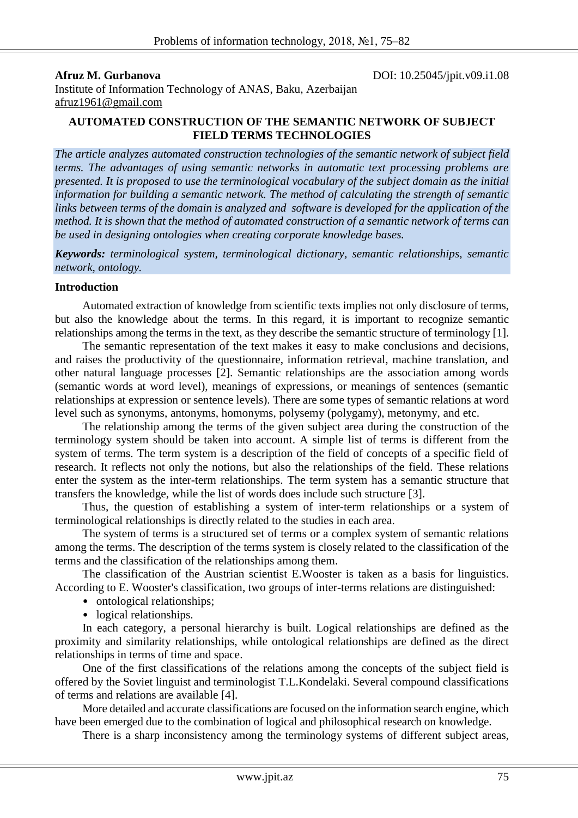**Afruz M. Gurbanova** DOI: 10.25045/jpit.v09.i1.08

Institute of Information Technology of ANAS, Baku, Azerbaijan afruz1961@gmail.com

## **AUTOMATED CONSTRUCTION OF THE SEMANTIC NETWORK OF SUBJECT FIELD TERMS TECHNOLOGIES**

*The article analyzes automated construction technologies of the semantic network of subject field terms. The advantages of using semantic networks in automatic text processing problems are presented. It is proposed to use the terminological vocabulary of the subject domain as the initial information for building a semantic network. The method of calculating the strength of semantic links between terms of the domain is analyzed and software is developed for the application of the method. It is shown that the method of automated construction of a semantic network of terms can be used in designing ontologies when creating corporate knowledge bases.*

*Keywords: terminological system, terminological dictionary, semantic relationships, semantic network, ontology.*

## **Introduction**

Automated extraction of knowledge from scientific texts implies not only disclosure of terms, but also the knowledge about the terms. In this regard, it is important to recognize semantic relationships among the terms in the text, as they describe the semantic structure of terminology [1].

The semantic representation of the text makes it easy to make conclusions and decisions, and raises the productivity of the questionnaire, information retrieval, machine translation, and other natural language processes [2]. Semantic relationships are the association among words (semantic words at word level), meanings of expressions, or meanings of sentences (semantic relationships at expression or sentence levels). There are some types of semantic relations at word level such as synonyms, antonyms, homonyms, polysemy (polygamy), metonymy, and etc.

The relationship among the terms of the given subject area during the construction of the terminology system should be taken into account. A simple list of terms is different from the system of terms. The term system is a description of the field of concepts of a specific field of research. It reflects not only the notions, but also the relationships of the field. These relations enter the system as the inter-term relationships. The term system has a semantic structure that transfers the knowledge, while the list of words does include such structure [3].

Thus, the question of establishing a system of inter-term relationships or a system of terminological relationships is directly related to the studies in each area.

The system of terms is a structured set of terms or a complex system of semantic relations among the terms. The description of the terms system is closely related to the classification of the terms and the classification of the relationships among them.

The classification of the Austrian scientist E.Wooster is taken as a basis for linguistics. According to E. Wooster's classification, two groups of inter-terms relations are distinguished:

- ontological relationships;
- logical relationships.

In each category, a personal hierarchy is built. Logical relationships are defined as the proximity and similarity relationships, while ontological relationships are defined as the direct relationships in terms of time and space.

One of the first classifications of the relations among the concepts of the subject field is offered by the Soviet linguist and terminologist T.L.Kondelaki. Several compound classifications of terms and relations are available [4].

More detailed and accurate classifications are focused on the information search engine, which have been emerged due to the combination of logical and philosophical research on knowledge.

There is a sharp inconsistency among the terminology systems of different subject areas,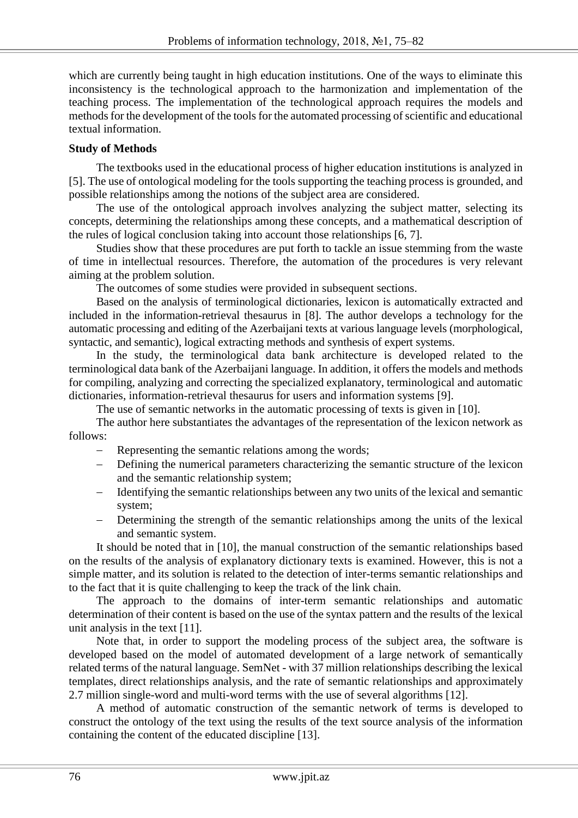which are currently being taught in high education institutions. One of the ways to eliminate this inconsistency is the technological approach to the harmonization and implementation of the teaching process. The implementation of the technological approach requires the models and methods for the development of the tools for the automated processing of scientific and educational textual information.

# **Study of Methods**

The textbooks used in the educational process of higher education institutions is analyzed in [5]. The use of ontological modeling for the tools supporting the teaching process is grounded, and possible relationships among the notions of the subject area are considered.

The use of the ontological approach involves analyzing the subject matter, selecting its concepts, determining the relationships among these concepts, and a mathematical description of the rules of logical conclusion taking into account those relationships [6, 7].

Studies show that these procedures are put forth to tackle an issue stemming from the waste of time in intellectual resources. Therefore, the automation of the procedures is very relevant aiming at the problem solution.

The outcomes of some studies were provided in subsequent sections.

Based on the analysis of terminological dictionaries, lexicon is automatically extracted and included in the information-retrieval thesaurus in [8]. The author develops a technology for the automatic processing and editing of the Azerbaijani texts at various language levels (morphological, syntactic, and semantic), logical extracting methods and synthesis of expert systems.

In the study, the terminological data bank architecture is developed related to the terminological data bank of the Azerbaijani language. In addition, it offers the models and methods for compiling, analyzing and correcting the specialized explanatory, terminological and automatic dictionaries, information-retrieval thesaurus for users and information systems [9].

The use of semantic networks in the automatic processing of texts is given in [10].

The author here substantiates the advantages of the representation of the lexicon network as follows:

- Representing the semantic relations among the words;
- Defining the numerical parameters characterizing the semantic structure of the lexicon and the semantic relationship system;
- Identifying the semantic relationships between any two units of the lexical and semantic system;
- Determining the strength of the semantic relationships among the units of the lexical and semantic system.

It should be noted that in [10], the manual construction of the semantic relationships based on the results of the analysis of explanatory dictionary texts is examined. However, this is not a simple matter, and its solution is related to the detection of inter-terms semantic relationships and to the fact that it is quite challenging to keep the track of the link chain.

The approach to the domains of inter-term semantic relationships and automatic determination of their content is based on the use of the syntax pattern and the results of the lexical unit analysis in the text [11].

Note that, in order to support the modeling process of the subject area, the software is developed based on the model of automated development of a large network of semantically related terms of the natural language. SemNet - with 37 million relationships describing the lexical templates, direct relationships analysis, and the rate of semantic relationships and approximately 2.7 million single-word and multi-word terms with the use of several algorithms [12].

A method of automatic construction of the semantic network of terms is developed to construct the ontology of the text using the results of the text source analysis of the information containing the content of the educated discipline [13].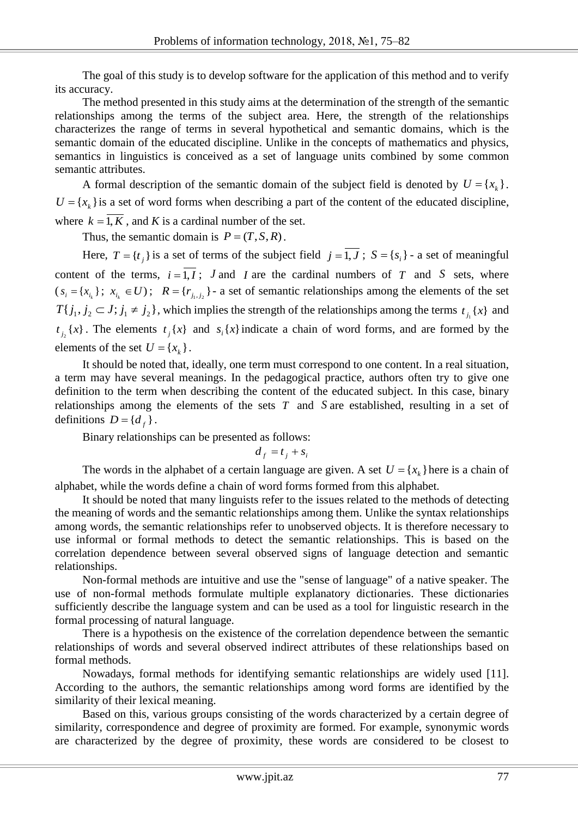The goal of this study is to develop software for the application of this method and to verify its accuracy.

The method presented in this study aims at the determination of the strength of the semantic relationships among the terms of the subject area. Here, the strength of the relationships characterizes the range of terms in several hypothetical and semantic domains, which is the semantic domain of the educated discipline. Unlike in the concepts of mathematics and physics, semantics in linguistics is conceived as a set of language units combined by some common semantic attributes.

A formal description of the semantic domain of the subject field is denoted by  $U = \{x_k\}$ .  $U = \{x_k\}$  is a set of word forms when describing a part of the content of the educated discipline, where  $k = 1, K$ , and *K* is a cardinal number of the set.

Thus, the semantic domain is  $P = (T, S, R)$ .

Here,  $T = \{t_j\}$  is a set of terms of the subject field  $j = 1, J$ ;  $S = \{s_i\}$  - a set of meaningful content of the terms,  $i = 1, I$ ; J and I are the cardinal numbers of T and S sets, where  $(x_i = \{x_{i_k}\}; x_{i_k} \in U);$   $R = \{r_{j_1, j_2}\}\$  a set of semantic relationships among the elements of the set  $T\{j_1, j_2 \subset J; j_1 \neq j_2\}$ , which implies the strength of the relationships among the terms  $t_{j_1}$  {x} and  $t_{j_2}(x)$ . The elements  $t_j(x)$  and  $s_i(x)$  indicate a chain of word forms, and are formed by the elements of the set  $U = \{x_k\}$ .

It should be noted that, ideally, one term must correspond to one content. In a real situation, a term may have several meanings. In the pedagogical practice, authors often try to give one definition to the term when describing the content of the educated subject. In this case, binary relationships among the elements of the sets  $T$  and  $S$  are established, resulting in a set of definitions  $D = \{d_f\}$ .

Binary relationships can be presented as follows:

$$
d_f = t_j + s_i
$$

The words in the alphabet of a certain language are given. A set  $U = \{x_k\}$  here is a chain of alphabet, while the words define a chain of word forms formed from this alphabet.

It should be noted that many linguists refer to the issues related to the methods of detecting the meaning of words and the semantic relationships among them. Unlike the syntax relationships among words, the semantic relationships refer to unobserved objects. It is therefore necessary to use informal or formal methods to detect the semantic relationships. This is based on the correlation dependence between several observed signs of language detection and semantic relationships.

Non-formal methods are intuitive and use the "sense of language" of a native speaker. The use of non-formal methods formulate multiple explanatory dictionaries. These dictionaries sufficiently describe the language system and can be used as a tool for linguistic research in the formal processing of natural language.

There is a hypothesis on the existence of the correlation dependence between the semantic relationships of words and several observed indirect attributes of these relationships based on formal methods.

Nowadays, formal methods for identifying semantic relationships are widely used [11]. According to the authors, the semantic relationships among word forms are identified by the similarity of their lexical meaning.

Based on this, various groups consisting of the words characterized by a certain degree of similarity, correspondence and degree of proximity are formed. For example, synonymic words are characterized by the degree of proximity, these words are considered to be closest to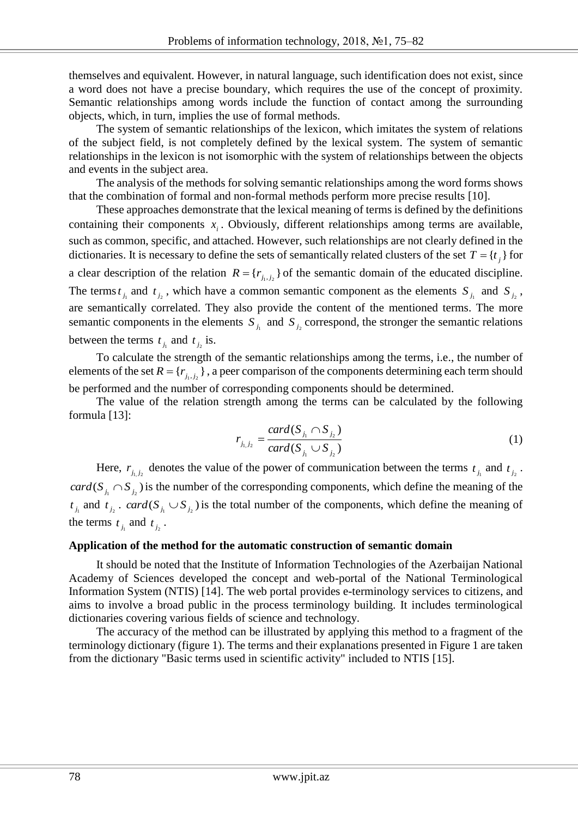themselves and equivalent. However, in natural language, such identification does not exist, since a word does not have a precise boundary, which requires the use of the concept of proximity. Semantic relationships among words include the function of contact among the surrounding objects, which, in turn, implies the use of formal methods.

The system of semantic relationships of the lexicon, which imitates the system of relations of the subject field, is not completely defined by the lexical system. The system of semantic relationships in the lexicon is not isomorphic with the system of relationships between the objects and events in the subject area.

The analysis of the methods for solving semantic relationships among the word forms shows that the combination of formal and non-formal methods perform more precise results [10].

These approaches demonstrate that the lexical meaning of terms is defined by the definitions containing their components  $x_i$ . Obviously, different relationships among terms are available, such as common, specific, and attached. However, such relationships are not clearly defined in the dictionaries. It is necessary to define the sets of semantically related clusters of the set  $T = \{t_j\}$  for a clear description of the relation  $R = \{r_{j_1, j_2}\}\$  of the semantic domain of the educated discipline. The terms  $t_{j_1}$  and  $t_{j_2}$ , which have a common semantic component as the elements  $S_{j_1}$  and  $S_{j_2}$ , are semantically correlated. They also provide the content of the mentioned terms. The more semantic components in the elements  $S_{i_1}$  and  $S_{i_2}$  correspond, the stronger the semantic relations between the terms  $t_{j_1}$  and  $t_{j_2}$  is.

To calculate the strength of the semantic relationships among the terms, i.e., the number of elements of the set  $R = \{r_{j_1, j_2}\}\$ , a peer comparison of the components determining each term should be performed and the number of corresponding components should be determined.

The value of the relation strength among the terms can be calculated by the following formula [13]:

$$
r_{j_1, j_2} = \frac{card(S_{j_1} \cap S_{j_2})}{card(S_{j_1} \cup S_{j_2})}
$$
 (1)

Here,  $r_{j_1, j_2}$  denotes the value of the power of communication between the terms  $t_{j_1}$  and  $t_{j_2}$ .  $card(S_{j_1} \cap S_{j_2})$  is the number of the corresponding components, which define the meaning of the  $t_{j_1}$  and  $t_{j_2}$ . *card*( $S_{j_1} \cup S_{j_2}$ ) is the total number of the components, which define the meaning of the terms  $t_{j_1}$  and  $t_{j_2}$ .

## **Application of the method for the automatic construction of semantic domain**

It should be noted that the Institute of Information Technologies of the Azerbaijan National Academy of Sciences developed the concept and web-portal of the National Terminological Information System (NTIS) [14]. The web portal provides e-terminology services to citizens, and aims to involve a broad public in the process terminology building. It includes terminological dictionaries covering various fields of science and technology.

The accuracy of the method can be illustrated by applying this method to a fragment of the terminology dictionary (figure 1). The terms and their explanations presented in Figure 1 are taken from the dictionary "Basic terms used in scientific activity" included to NTIS [15].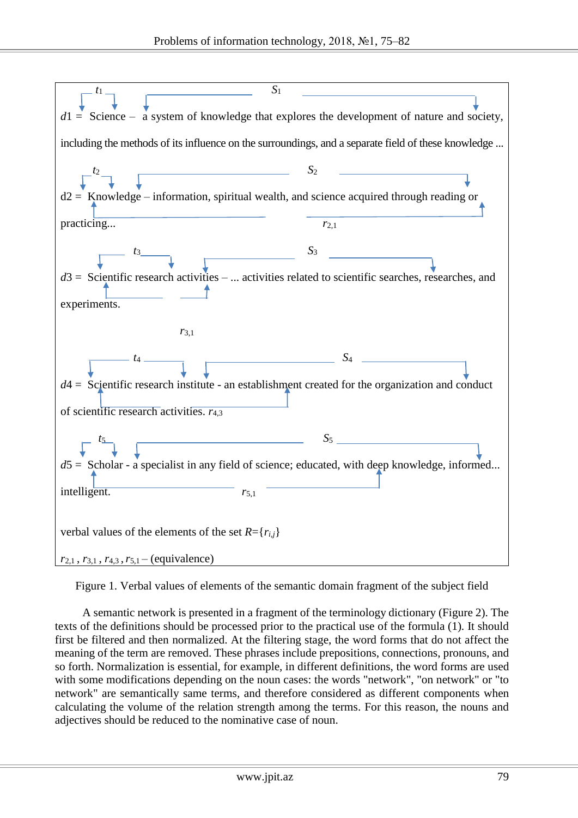

Figure 1. Verbal values of elements of the semantic domain fragment of the subject field

A semantic network is presented in a fragment of the terminology dictionary (Figure 2). The texts of the definitions should be processed prior to the practical use of the formula (1). It should first be filtered and then normalized. At the filtering stage, the word forms that do not affect the meaning of the term are removed. These phrases include prepositions, connections, pronouns, and so forth. Normalization is essential, for example, in different definitions, the word forms are used with some modifications depending on the noun cases: the words "network", "on network" or "to network" are semantically same terms, and therefore considered as different components when calculating the volume of the relation strength among the terms. For this reason, the nouns and adjectives should be reduced to the nominative case of noun.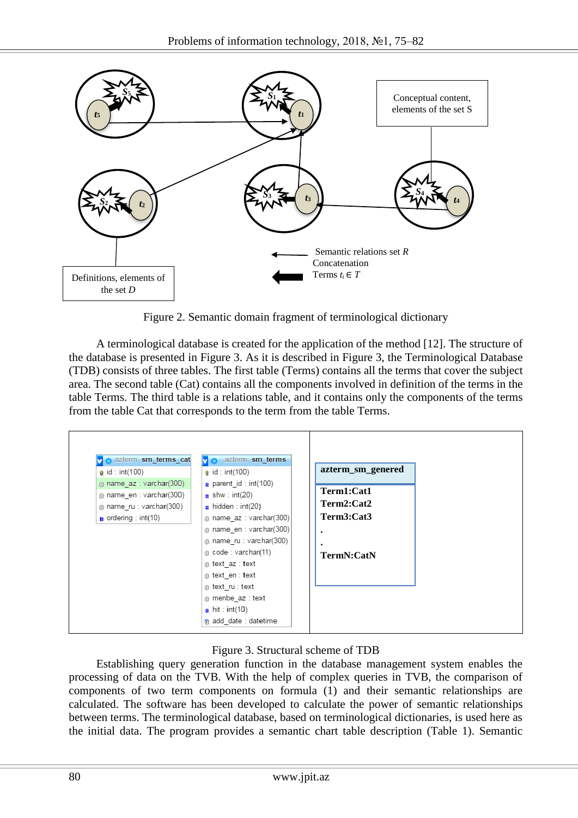

Figure 2. Semantic domain fragment of terminological dictionary

A terminological database is created for the application of the method [12]. The structure of the database is presented in Figure 3. As it is described in Figure 3, the Terminological Database (TDB) consists of three tables. The first table (Terms) contains all the terms that cover the subject area. The second table (Cat) contains all the components involved in definition of the terms in the table Terms. The third table is a relations table, and it contains only the components of the terms from the table Cat that corresponds to the term from the table Terms.



# Figure 3. Structural scheme of TDB

Establishing query generation function in the database management system enables the processing of data on the TVB. With the help of complex queries in TVB, the comparison of components of two term components on formula (1) and their semantic relationships are calculated. The software has been developed to calculate the power of semantic relationships between terms. The terminological database, based on terminological dictionaries, is used here as the initial data. The program provides a semantic chart table description (Table 1). Semantic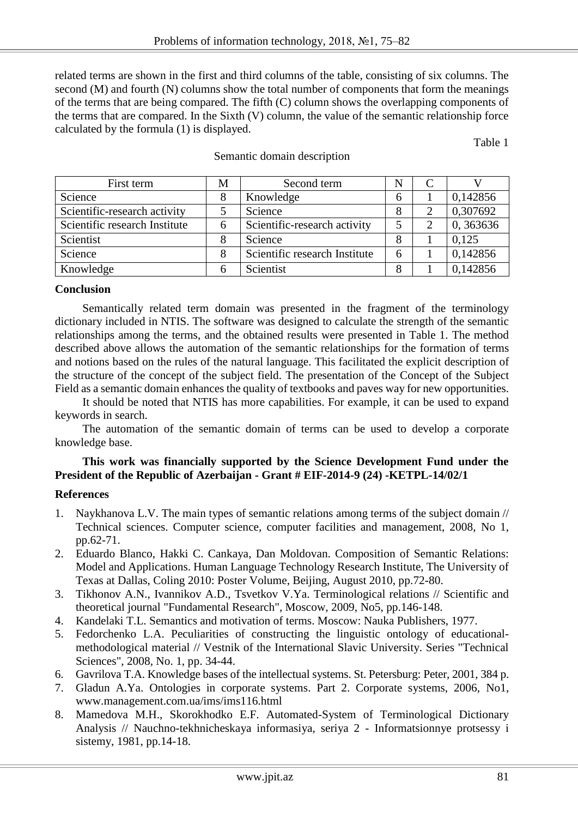related terms are shown in the first and third columns of the table, consisting of six columns. The second (M) and fourth (N) columns show the total number of components that form the meanings of the terms that are being compared. The fifth (C) column shows the overlapping components of the terms that are compared. In the Sixth (V) column, the value of the semantic relationship force calculated by the formula (1) is displayed.

Table 1

| First term                    | М | Second term                   | N |          |
|-------------------------------|---|-------------------------------|---|----------|
| Science                       | 8 | Knowledge                     | h | 0,142856 |
| Scientific-research activity  |   | Science                       | 8 | 0,307692 |
| Scientific research Institute | 6 | Scientific-research activity  |   | 0,363636 |
| Scientist                     |   | Science                       | 8 | 0.125    |
| Science                       |   | Scientific research Institute | 6 | 0,142856 |
| Knowledge                     |   | Scientist                     | 8 | 0,142856 |

## Semantic domain description

# **Conclusion**

Semantically related term domain was presented in the fragment of the terminology dictionary included in NTIS. The software was designed to calculate the strength of the semantic relationships among the terms, and the obtained results were presented in Table 1. The method described above allows the automation of the semantic relationships for the formation of terms and notions based on the rules of the natural language. This facilitated the explicit description of the structure of the concept of the subject field. The presentation of the Concept of the Subject Field as a semantic domain enhances the quality of textbooks and paves way for new opportunities.

It should be noted that NTIS has more capabilities. For example, it can be used to expand keywords in search.

The automation of the semantic domain of terms can be used to develop a corporate knowledge base.

# **This work was financially supported by the Science Development Fund under the President of the Republic of Azerbaijan - Grant # EIF-2014-9 (24) -KETPL-14/02/1**

# **References**

- 1. Naykhanova L.V. The main types of semantic relations among terms of the subject domain // Technical sciences. Computer science, computer facilities and management, 2008, No 1, pp.62-71.
- 2. Eduardo Blanco, Hakki C. Cankaya, Dan Moldovan. Composition of Semantic Relations: Model and Applications. Human Language Technology Research Institute, The University of Texas at Dallas, Coling 2010: Poster Volume, Beijing, August 2010, pp.72-80.
- 3. Tikhonov A.N., Ivannikov A.D., Tsvetkov V.Ya. Terminological relations // Scientific and theoretical journal "Fundamental Research", Moscow, 2009, No5, pp.146-148.
- 4. Kandelaki T.L. Semantics and motivation of terms. Moscow: Nauka Publishers, 1977.
- 5. Fedorchenko L.A. Peculiarities of constructing the linguistic ontology of educationalmethodological material // Vestnik of the International Slavic University. Series "Technical Sciences", 2008, No. 1, pp. 34-44.
- 6. Gavrilova T.A. Knowledge bases of the intellectual systems. St. Petersburg: Peter, 2001, 384 p.
- 7. Gladun A.Ya. Ontologies in corporate systems. Part 2. Corporate systems, 2006, No1, www.management.com.ua/ims/ims116.html
- 8. Mamedova M.H., Skorokhodko E.F. Automated-System of Terminological Dictionary Analysis // Nauchno-tekhnicheskaya informasiya, seriya 2 - Informatsionnye protsessy i sistemy, 1981, pp.14-18.